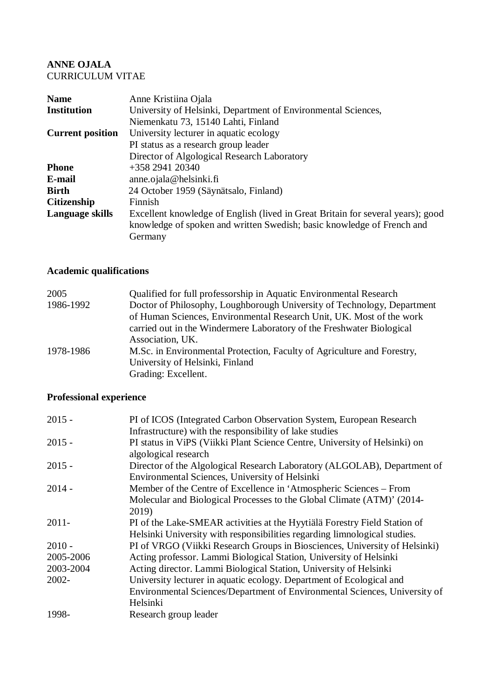### **ANNE OJALA** CURRICULUM VITAE

| Anne Kristiina Ojala                                                                                                                                                 |
|----------------------------------------------------------------------------------------------------------------------------------------------------------------------|
| University of Helsinki, Department of Environmental Sciences,                                                                                                        |
| Niemenkatu 73, 15140 Lahti, Finland                                                                                                                                  |
| University lecturer in aquatic ecology                                                                                                                               |
| PI status as a research group leader                                                                                                                                 |
| Director of Algological Research Laboratory                                                                                                                          |
| +358 2941 20340                                                                                                                                                      |
| anne. ojala@helsinki.fi                                                                                                                                              |
| 24 October 1959 (Säynätsalo, Finland)                                                                                                                                |
| Finnish                                                                                                                                                              |
| Excellent knowledge of English (lived in Great Britain for several years); good<br>knowledge of spoken and written Swedish; basic knowledge of French and<br>Germany |
|                                                                                                                                                                      |

# **Academic qualifications**

| 2005      | Qualified for full professorship in Aquatic Environmental Research      |
|-----------|-------------------------------------------------------------------------|
| 1986-1992 | Doctor of Philosophy, Loughborough University of Technology, Department |
|           | of Human Sciences, Environmental Research Unit, UK. Most of the work    |
|           | carried out in the Windermere Laboratory of the Freshwater Biological   |
|           | Association, UK.                                                        |
| 1978-1986 | M.Sc. in Environmental Protection, Faculty of Agriculture and Forestry, |
|           | University of Helsinki, Finland                                         |
|           | Grading: Excellent.                                                     |

## **Professional experience**

| $2015 -$  | PI of ICOS (Integrated Carbon Observation System, European Research        |
|-----------|----------------------------------------------------------------------------|
|           | Infrastructure) with the responsibility of lake studies                    |
| $2015 -$  | PI status in ViPS (Viikki Plant Science Centre, University of Helsinki) on |
|           | algological research                                                       |
| $2015 -$  | Director of the Algological Research Laboratory (ALGOLAB), Department of   |
|           | Environmental Sciences, University of Helsinki                             |
| $2014 -$  | Member of the Centre of Excellence in 'Atmospheric Sciences – From         |
|           | Molecular and Biological Processes to the Global Climate (ATM)' (2014-     |
|           | 2019)                                                                      |
| $2011 -$  | PI of the Lake-SMEAR activities at the Hyytiälä Forestry Field Station of  |
|           | Helsinki University with responsibilities regarding limnological studies.  |
| $2010 -$  | PI of VRGO (Viikki Research Groups in Biosciences, University of Helsinki) |
| 2005-2006 | Acting professor. Lammi Biological Station, University of Helsinki         |
| 2003-2004 | Acting director. Lammi Biological Station, University of Helsinki          |
| $2002 -$  | University lecturer in aquatic ecology. Department of Ecological and       |
|           | Environmental Sciences/Department of Environmental Sciences, University of |
|           | Helsinki                                                                   |
| 1998-     | Research group leader                                                      |
|           |                                                                            |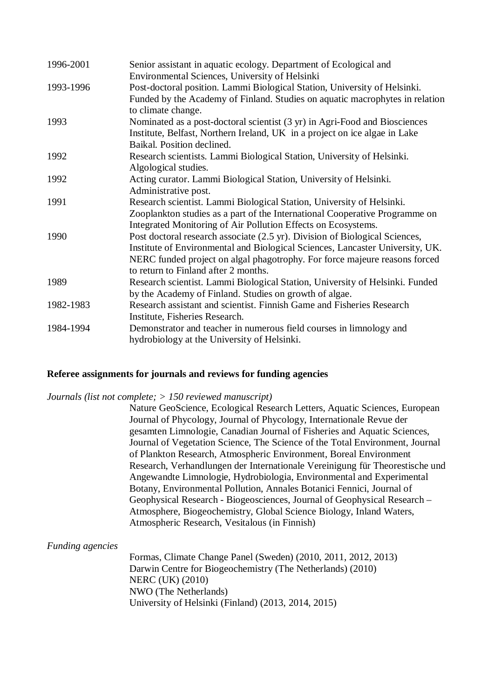| 1996-2001 | Senior assistant in aquatic ecology. Department of Ecological and             |
|-----------|-------------------------------------------------------------------------------|
|           | Environmental Sciences, University of Helsinki                                |
| 1993-1996 | Post-doctoral position. Lammi Biological Station, University of Helsinki.     |
|           | Funded by the Academy of Finland. Studies on aquatic macrophytes in relation  |
|           | to climate change.                                                            |
| 1993      | Nominated as a post-doctoral scientist (3 yr) in Agri-Food and Biosciences    |
|           | Institute, Belfast, Northern Ireland, UK in a project on ice algae in Lake    |
|           | Baikal. Position declined.                                                    |
| 1992      | Research scientists. Lammi Biological Station, University of Helsinki.        |
|           | Algological studies.                                                          |
| 1992      | Acting curator. Lammi Biological Station, University of Helsinki.             |
|           | Administrative post.                                                          |
| 1991      | Research scientist. Lammi Biological Station, University of Helsinki.         |
|           | Zooplankton studies as a part of the International Cooperative Programme on   |
|           | Integrated Monitoring of Air Pollution Effects on Ecosystems.                 |
| 1990      | Post doctoral research associate (2.5 yr). Division of Biological Sciences,   |
|           | Institute of Environmental and Biological Sciences, Lancaster University, UK. |
|           | NERC funded project on algal phagotrophy. For force majeure reasons forced    |
|           | to return to Finland after 2 months.                                          |
| 1989      | Research scientist. Lammi Biological Station, University of Helsinki. Funded  |
|           | by the Academy of Finland. Studies on growth of algae.                        |
| 1982-1983 | Research assistant and scientist. Finnish Game and Fisheries Research         |
|           | Institute, Fisheries Research.                                                |
| 1984-1994 | Demonstrator and teacher in numerous field courses in limnology and           |
|           | hydrobiology at the University of Helsinki.                                   |

### **Referee assignments for journals and reviews for funding agencies**

#### *Journals (list not complete; > 150 reviewed manuscript)*

Nature GeoScience, Ecological Research Letters, Aquatic Sciences, European Journal of Phycology, Journal of Phycology, Internationale Revue der gesamten Limnologie, Canadian Journal of Fisheries and Aquatic Sciences, Journal of Vegetation Science, The Science of the Total Environment, Journal of Plankton Research, Atmospheric Environment, Boreal Environment Research, Verhandlungen der Internationale Vereinigung für Theorestische und Angewandte Limnologie, Hydrobiologia, Environmental and Experimental Botany, Environmental Pollution, Annales Botanici Fennici, Journal of Geophysical Research - Biogeosciences, Journal of Geophysical Research – Atmosphere, Biogeochemistry, Global Science Biology, Inland Waters, Atmospheric Research, Vesitalous (in Finnish)

### *Funding agencies*

Formas, Climate Change Panel (Sweden) (2010, 2011, 2012, 2013) Darwin Centre for Biogeochemistry (The Netherlands) (2010) NERC (UK) (2010) NWO (The Netherlands) University of Helsinki (Finland) (2013, 2014, 2015)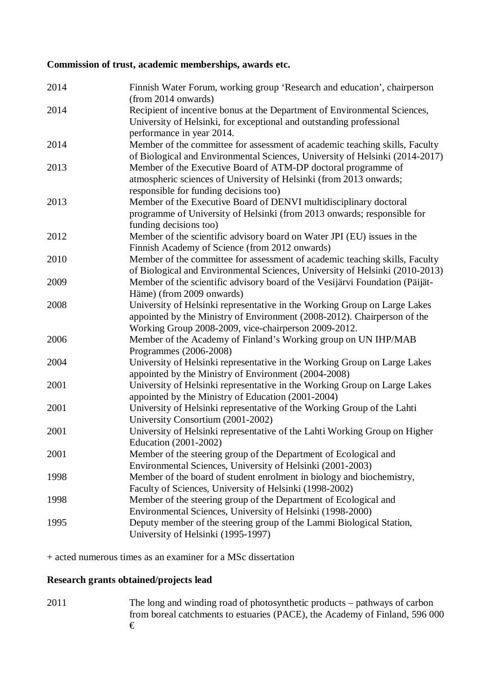### **Commission of trust, academic memberships, awards etc.**

| 2014 | Finnish Water Forum, working group 'Research and education', chairperson<br>(from 2014 onwards)                                                                                                               |
|------|---------------------------------------------------------------------------------------------------------------------------------------------------------------------------------------------------------------|
| 2014 | Recipient of incentive bonus at the Department of Environmental Sciences,<br>University of Helsinki, for exceptional and outstanding professional<br>performance in year 2014.                                |
| 2014 | Member of the committee for assessment of academic teaching skills, Faculty<br>of Biological and Environmental Sciences, University of Helsinki (2014-2017)                                                   |
| 2013 | Member of the Executive Board of ATM-DP doctoral programme of<br>atmospheric sciences of University of Helsinki (from 2013 onwards;<br>responsible for funding decisions too)                                 |
| 2013 | Member of the Executive Board of DENVI multidisciplinary doctoral<br>programme of University of Helsinki (from 2013 onwards; responsible for<br>funding decisions too)                                        |
| 2012 | Member of the scientific advisory board on Water JPI (EU) issues in the<br>Finnish Academy of Science (from 2012 onwards)                                                                                     |
| 2010 | Member of the committee for assessment of academic teaching skills, Faculty<br>of Biological and Environmental Sciences, University of Helsinki (2010-2013)                                                   |
| 2009 | Member of the scientific advisory board of the Vesijärvi Foundation (Päijät-<br>Häme) (from 2009 onwards)                                                                                                     |
| 2008 | University of Helsinki representative in the Working Group on Large Lakes<br>appointed by the Ministry of Environment (2008-2012). Chairperson of the<br>Working Group 2008-2009, vice-chairperson 2009-2012. |
| 2006 | Member of the Academy of Finland's Working group on UN IHP/MAB<br>Programmes (2006-2008)                                                                                                                      |
| 2004 | University of Helsinki representative in the Working Group on Large Lakes<br>appointed by the Ministry of Environment (2004-2008)                                                                             |
| 2001 | University of Helsinki representative in the Working Group on Large Lakes<br>appointed by the Ministry of Education (2001-2004)                                                                               |
| 2001 | University of Helsinki representative of the Working Group of the Lahti<br>University Consortium (2001-2002)                                                                                                  |
| 2001 | University of Helsinki representative of the Lahti Working Group on Higher<br>Education (2001-2002)                                                                                                           |
| 2001 | Member of the steering group of the Department of Ecological and<br>Environmental Sciences, University of Helsinki (2001-2003)                                                                                |
| 1998 | Member of the board of student enrolment in biology and biochemistry,<br>Faculty of Sciences, University of Helsinki (1998-2002)                                                                              |
| 1998 | Member of the steering group of the Department of Ecological and<br>Environmental Sciences, University of Helsinki (1998-2000)                                                                                |
| 1995 | Deputy member of the steering group of the Lammi Biological Station,<br>University of Helsinki (1995-1997)                                                                                                    |

+ acted numerous times as an examiner for a MSc dissertation

## **Research grants obtained/projects lead**

2011 The long and winding road of photosynthetic products – pathways of carbon from boreal catchments to estuaries (PACE), the Academy of Finland, 596 000 €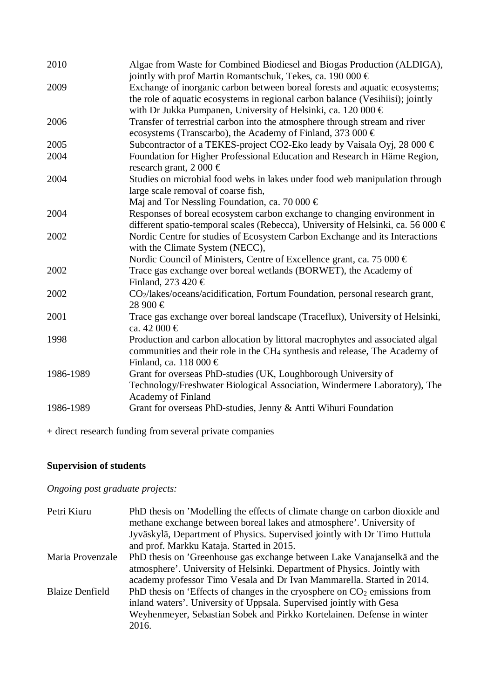| 2010      | Algae from Waste for Combined Biodiesel and Biogas Production (ALDIGA),<br>jointly with prof Martin Romantschuk, Tekes, ca. 190 000 €                                                                                          |
|-----------|--------------------------------------------------------------------------------------------------------------------------------------------------------------------------------------------------------------------------------|
| 2009      | Exchange of inorganic carbon between boreal forests and aquatic ecosystems;<br>the role of aquatic ecosystems in regional carbon balance (Vesihiisi); jointly<br>with Dr Jukka Pumpanen, University of Helsinki, ca. 120 000 € |
| 2006      | Transfer of terrestrial carbon into the atmosphere through stream and river<br>ecosystems (Transcarbo), the Academy of Finland, 373 000 €                                                                                      |
| 2005      | Subcontractor of a TEKES-project CO2-Eko leady by Vaisala Oyj, 28 000 €                                                                                                                                                        |
| 2004      | Foundation for Higher Professional Education and Research in Häme Region,<br>research grant, $2000 \in$                                                                                                                        |
| 2004      | Studies on microbial food webs in lakes under food web manipulation through<br>large scale removal of coarse fish,                                                                                                             |
|           | Maj and Tor Nessling Foundation, ca. 70 000 $\in$                                                                                                                                                                              |
| 2004      | Responses of boreal ecosystem carbon exchange to changing environment in<br>different spatio-temporal scales (Rebecca), University of Helsinki, ca. 56 000 €                                                                   |
| 2002      | Nordic Centre for studies of Ecosystem Carbon Exchange and its Interactions<br>with the Climate System (NECC),                                                                                                                 |
|           | Nordic Council of Ministers, Centre of Excellence grant, ca. 75 000 $\in$                                                                                                                                                      |
| 2002      | Trace gas exchange over boreal wetlands (BORWET), the Academy of<br>Finland, 273 420 $\in$                                                                                                                                     |
| 2002      | CO <sub>2</sub> /lakes/oceans/acidification, Fortum Foundation, personal research grant,<br>28 900 €                                                                                                                           |
| 2001      | Trace gas exchange over boreal landscape (Traceflux), University of Helsinki,<br>ca. 42 000 €                                                                                                                                  |
| 1998      | Production and carbon allocation by littoral macrophytes and associated algal<br>communities and their role in the CH <sub>4</sub> synthesis and release, The Academy of<br>Finland, ca. 118 000 $\in$                         |
| 1986-1989 | Grant for overseas PhD-studies (UK, Loughborough University of<br>Technology/Freshwater Biological Association, Windermere Laboratory), The                                                                                    |
| 1986-1989 | <b>Academy of Finland</b>                                                                                                                                                                                                      |
|           | Grant for overseas PhD-studies, Jenny & Antti Wihuri Foundation                                                                                                                                                                |

+ direct research funding from several private companies

## **Supervision of students**

*Ongoing post graduate projects:*

| PhD thesis on 'Modelling the effects of climate change on carbon dioxide and<br>methane exchange between boreal lakes and atmosphere'. University of<br>Jyväskylä, Department of Physics. Supervised jointly with Dr Timo Huttula |
|-----------------------------------------------------------------------------------------------------------------------------------------------------------------------------------------------------------------------------------|
|                                                                                                                                                                                                                                   |
| PhD thesis on 'Greenhouse gas exchange between Lake Vanajanselkä and the                                                                                                                                                          |
| atmosphere'. University of Helsinki. Department of Physics. Jointly with                                                                                                                                                          |
| academy professor Timo Vesala and Dr Ivan Mammarella. Started in 2014.                                                                                                                                                            |
| PhD thesis on 'Effects of changes in the cryosphere on $CO2$ emissions from                                                                                                                                                       |
|                                                                                                                                                                                                                                   |
| Weyhenmeyer, Sebastian Sobek and Pirkko Kortelainen. Defense in winter                                                                                                                                                            |
|                                                                                                                                                                                                                                   |
|                                                                                                                                                                                                                                   |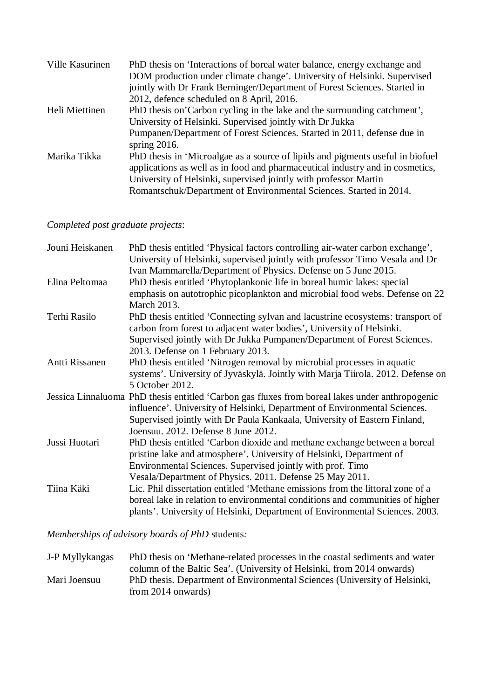| Ville Kasurinen | PhD thesis on 'Interactions of boreal water balance, energy exchange and       |
|-----------------|--------------------------------------------------------------------------------|
|                 | DOM production under climate change'. University of Helsinki. Supervised       |
|                 | jointly with Dr Frank Berninger/Department of Forest Sciences. Started in      |
|                 | 2012, defence scheduled on 8 April, 2016.                                      |
| Heli Miettinen  | PhD thesis on'Carbon cycling in the lake and the surrounding catchment',       |
|                 | University of Helsinki. Supervised jointly with Dr Jukka                       |
|                 | Pumpanen/Department of Forest Sciences. Started in 2011, defense due in        |
|                 | spring $2016$ .                                                                |
| Marika Tikka    | PhD thesis in 'Microalgae as a source of lipids and pigments useful in biofuel |
|                 | applications as well as in food and pharmaceutical industry and in cosmetics,  |
|                 | University of Helsinki, supervised jointly with professor Martin               |
|                 | Romantschuk/Department of Environmental Sciences. Started in 2014.             |

# *Completed post graduate projects*:

| Jouni Heiskanen | PhD thesis entitled 'Physical factors controlling air-water carbon exchange',<br>University of Helsinki, supervised jointly with professor Timo Vesala and Dr |
|-----------------|---------------------------------------------------------------------------------------------------------------------------------------------------------------|
|                 | Ivan Mammarella/Department of Physics. Defense on 5 June 2015.                                                                                                |
| Elina Peltomaa  | PhD thesis entitled 'Phytoplankonic life in boreal humic lakes: special                                                                                       |
|                 | emphasis on autotrophic picoplankton and microbial food webs. Defense on 22                                                                                   |
|                 | <b>March 2013.</b>                                                                                                                                            |
| Terhi Rasilo    | PhD thesis entitled 'Connecting sylvan and lacustrine ecosystems: transport of<br>carbon from forest to adjacent water bodies', University of Helsinki.       |
|                 | Supervised jointly with Dr Jukka Pumpanen/Department of Forest Sciences.                                                                                      |
|                 | 2013. Defense on 1 February 2013.                                                                                                                             |
| Antti Rissanen  | PhD thesis entitled 'Nitrogen removal by microbial processes in aquatic                                                                                       |
|                 | systems'. University of Jyväskylä. Jointly with Marja Tiirola. 2012. Defense on                                                                               |
|                 | 5 October 2012.                                                                                                                                               |
|                 | Jessica Linnaluoma PhD thesis entitled 'Carbon gas fluxes from boreal lakes under anthropogenic                                                               |
|                 | influence'. University of Helsinki, Department of Environmental Sciences.                                                                                     |
|                 | Supervised jointly with Dr Paula Kankaala, University of Eastern Finland,                                                                                     |
|                 | Joensuu. 2012. Defense 8 June 2012.                                                                                                                           |
| Jussi Huotari   | PhD thesis entitled 'Carbon dioxide and methane exchange between a boreal                                                                                     |
|                 | pristine lake and atmosphere'. University of Helsinki, Department of                                                                                          |
|                 | Environmental Sciences. Supervised jointly with prof. Timo                                                                                                    |
|                 | Vesala/Department of Physics. 2011. Defense 25 May 2011.                                                                                                      |
| Tiina Käki      | Lic. Phil dissertation entitled 'Methane emissions from the littoral zone of a                                                                                |
|                 | boreal lake in relation to environmental conditions and communities of higher                                                                                 |
|                 | plants'. University of Helsinki, Department of Environmental Sciences. 2003.                                                                                  |
|                 |                                                                                                                                                               |

*Memberships of advisory boards of PhD* students*:*

| J-P Myllykangas | PhD thesis on 'Methane-related processes in the coastal sediments and water |
|-----------------|-----------------------------------------------------------------------------|
|                 | column of the Baltic Sea'. (University of Helsinki, from 2014 onwards)      |
| Mari Joensuu    | PhD thesis. Department of Environmental Sciences (University of Helsinki,   |
|                 | from $2014$ onwards)                                                        |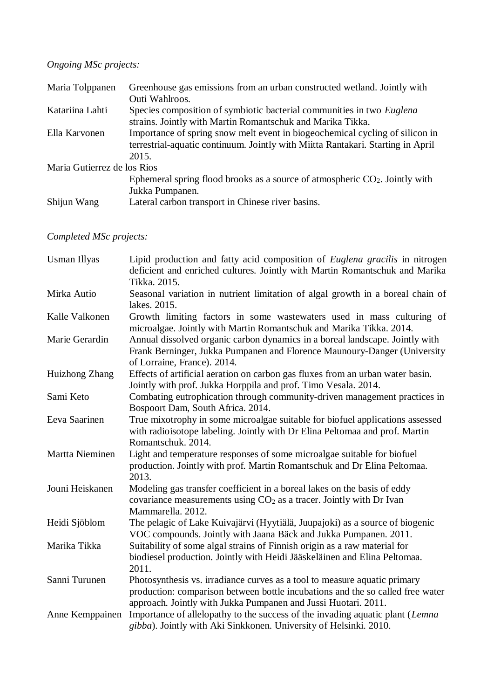# *Ongoing MSc projects:*

| Maria Tolppanen             | Greenhouse gas emissions from an urban constructed wetland. Jointly with        |
|-----------------------------|---------------------------------------------------------------------------------|
|                             | Outi Wahlroos.                                                                  |
| Katariina Lahti             | Species composition of symbiotic bacterial communities in two Euglena           |
|                             | strains. Jointly with Martin Romantschuk and Marika Tikka.                      |
| Ella Karvonen               | Importance of spring snow melt event in biogeochemical cycling of silicon in    |
|                             | terrestrial-aquatic continuum. Jointly with Miitta Rantakari. Starting in April |
|                             | 2015.                                                                           |
| Maria Gutierrez de los Rios |                                                                                 |
|                             | Ephemeral spring flood brooks as a source of atmospheric $CO2$ . Jointly with   |
|                             | Jukka Pumpanen.                                                                 |
| Shijun Wang                 | Lateral carbon transport in Chinese river basins.                               |
|                             |                                                                                 |

# *Completed MSc projects:*

| <b>Usman Illyas</b> | Lipid production and fatty acid composition of <i>Euglena gracilis</i> in nitrogen<br>deficient and enriched cultures. Jointly with Martin Romantschuk and Marika<br>Tikka. 2015.                                             |
|---------------------|-------------------------------------------------------------------------------------------------------------------------------------------------------------------------------------------------------------------------------|
| Mirka Autio         | Seasonal variation in nutrient limitation of algal growth in a boreal chain of<br>lakes. 2015.                                                                                                                                |
| Kalle Valkonen      | Growth limiting factors in some wastewaters used in mass culturing of<br>microalgae. Jointly with Martin Romantschuk and Marika Tikka. 2014.                                                                                  |
| Marie Gerardin      | Annual dissolved organic carbon dynamics in a boreal landscape. Jointly with<br>Frank Berninger, Jukka Pumpanen and Florence Maunoury-Danger (University<br>of Lorraine, France). 2014.                                       |
| Huizhong Zhang      | Effects of artificial aeration on carbon gas fluxes from an urban water basin.<br>Jointly with prof. Jukka Horppila and prof. Timo Vesala. 2014.                                                                              |
| Sami Keto           | Combating eutrophication through community-driven management practices in<br>Bospoort Dam, South Africa. 2014.                                                                                                                |
| Eeva Saarinen       | True mixotrophy in some microalgae suitable for biofuel applications assessed<br>with radioisotope labeling. Jointly with Dr Elina Peltomaa and prof. Martin<br>Romantschuk. 2014.                                            |
| Martta Nieminen     | Light and temperature responses of some microalgae suitable for biofuel<br>production. Jointly with prof. Martin Romantschuk and Dr Elina Peltomaa.<br>2013.                                                                  |
| Jouni Heiskanen     | Modeling gas transfer coefficient in a boreal lakes on the basis of eddy<br>covariance measurements using $CO2$ as a tracer. Jointly with Dr Ivan<br>Mammarella, 2012.                                                        |
| Heidi Sjöblom       | The pelagic of Lake Kuivajärvi (Hyytiälä, Juupajoki) as a source of biogenic<br>VOC compounds. Jointly with Jaana Bäck and Jukka Pumpanen. 2011.                                                                              |
| Marika Tikka        | Suitability of some algal strains of Finnish origin as a raw material for<br>biodiesel production. Jointly with Heidi Jääskeläinen and Elina Peltomaa.<br>2011.                                                               |
| Sanni Turunen       | Photosynthesis vs. irradiance curves as a tool to measure aquatic primary<br>production: comparison between bottle incubations and the so called free water<br>approach. Jointly with Jukka Pumpanen and Jussi Huotari. 2011. |
| Anne Kemppainen     | Importance of allelopathy to the success of the invading aquatic plant (Lemna<br>gibba). Jointly with Aki Sinkkonen. University of Helsinki. 2010.                                                                            |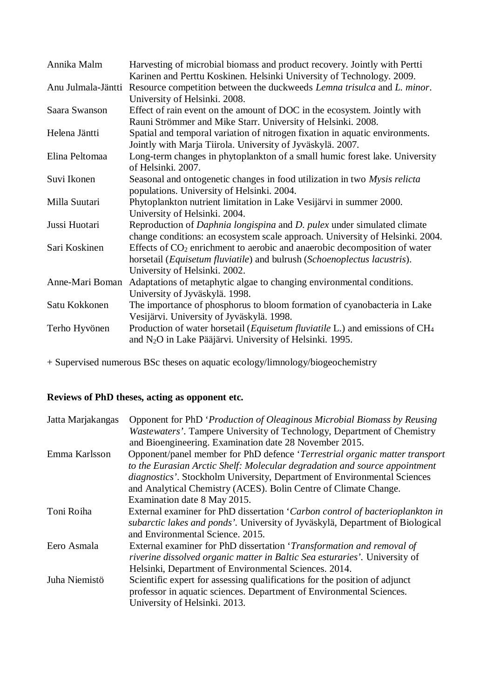| Annika Malm        | Harvesting of microbial biomass and product recovery. Jointly with Pertti                         |
|--------------------|---------------------------------------------------------------------------------------------------|
|                    | Karinen and Perttu Koskinen. Helsinki University of Technology. 2009.                             |
| Anu Julmala-Jäntti | Resource competition between the duckweeds Lemna trisulca and L. minor.                           |
|                    | University of Helsinki. 2008.                                                                     |
| Saara Swanson      | Effect of rain event on the amount of DOC in the ecosystem. Jointly with                          |
|                    | Rauni Strömmer and Mike Starr. University of Helsinki. 2008.                                      |
| Helena Jäntti      | Spatial and temporal variation of nitrogen fixation in aquatic environments.                      |
|                    | Jointly with Marja Tiirola. University of Jyväskylä. 2007.                                        |
| Elina Peltomaa     | Long-term changes in phytoplankton of a small humic forest lake. University                       |
|                    | of Helsinki. 2007.                                                                                |
| Suvi Ikonen        | Seasonal and ontogenetic changes in food utilization in two Mysis relicta                         |
|                    | populations. University of Helsinki. 2004.                                                        |
| Milla Suutari      | Phytoplankton nutrient limitation in Lake Vesijärvi in summer 2000.                               |
|                    | University of Helsinki. 2004.                                                                     |
| Jussi Huotari      | Reproduction of Daphnia longispina and D. pulex under simulated climate                           |
|                    | change conditions: an ecosystem scale approach. University of Helsinki. 2004.                     |
| Sari Koskinen      | Effects of $CO2$ enrichment to aerobic and anaerobic decomposition of water                       |
|                    | horsetail ( <i>Equisetum fluviatile</i> ) and bulrush ( <i>Schoenoplectus lacustris</i> ).        |
|                    | University of Helsinki. 2002.                                                                     |
| Anne-Mari Boman    | Adaptations of metaphytic algae to changing environmental conditions.                             |
|                    | University of Jyväskylä. 1998.                                                                    |
| Satu Kokkonen      | The importance of phosphorus to bloom formation of cyanobacteria in Lake                          |
|                    | Vesijärvi. University of Jyväskylä. 1998.                                                         |
| Terho Hyvönen      | Production of water horsetail ( <i>Equisetum fluviatile L</i> .) and emissions of CH <sub>4</sub> |
|                    | and N <sub>2</sub> O in Lake Pääjärvi. University of Helsinki. 1995.                              |

+ Supervised numerous BSc theses on aquatic ecology/limnology/biogeochemistry

## **Reviews of PhD theses, acting as opponent etc.**

| Opponent for PhD 'Production of Oleaginous Microbial Biomass by Reusing<br><i>Wastewaters'</i> . Tampere University of Technology, Department of Chemistry |
|------------------------------------------------------------------------------------------------------------------------------------------------------------|
| and Bioengineering. Examination date 28 November 2015.                                                                                                     |
| Opponent/panel member for PhD defence 'Terrestrial organic matter transport                                                                                |
| to the Eurasian Arctic Shelf: Molecular degradation and source appointment                                                                                 |
| <i>diagnostics'</i> . Stockholm University, Department of Environmental Sciences                                                                           |
| and Analytical Chemistry (ACES). Bolin Centre of Climate Change.                                                                                           |
| Examination date 8 May 2015.                                                                                                                               |
| External examiner for PhD dissertation 'Carbon control of bacterioplankton in                                                                              |
| subarctic lakes and ponds'. University of Jyväskylä, Department of Biological                                                                              |
| and Environmental Science. 2015.                                                                                                                           |
| External examiner for PhD dissertation 'Transformation and removal of                                                                                      |
| riverine dissolved organic matter in Baltic Sea esturaries'. University of                                                                                 |
| Helsinki, Department of Environmental Sciences. 2014.                                                                                                      |
| Scientific expert for assessing qualifications for the position of adjunct                                                                                 |
| professor in aquatic sciences. Department of Environmental Sciences.                                                                                       |
| University of Helsinki. 2013.                                                                                                                              |
|                                                                                                                                                            |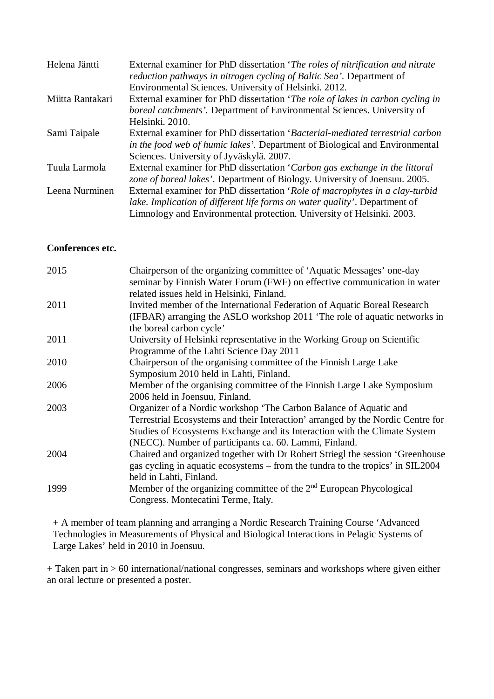| Helena Jäntti    | External examiner for PhD dissertation 'The roles of nitrification and nitrate<br><i>reduction pathways in nitrogen cycling of Baltic Sea'.</i> Department of<br>Environmental Sciences. University of Helsinki. 2012. |
|------------------|------------------------------------------------------------------------------------------------------------------------------------------------------------------------------------------------------------------------|
| Miitta Rantakari | External examiner for PhD dissertation 'The role of lakes in carbon cycling in                                                                                                                                         |
|                  | boreal catchments'. Department of Environmental Sciences. University of                                                                                                                                                |
|                  | Helsinki. 2010.                                                                                                                                                                                                        |
| Sami Taipale     | External examiner for PhD dissertation 'Bacterial-mediated terrestrial carbon                                                                                                                                          |
|                  | in the food web of humic lakes'. Department of Biological and Environmental                                                                                                                                            |
|                  | Sciences. University of Jyväskylä. 2007.                                                                                                                                                                               |
| Tuula Larmola    | External examiner for PhD dissertation 'Carbon gas exchange in the littoral                                                                                                                                            |
|                  | zone of boreal lakes'. Department of Biology. University of Joensuu. 2005.                                                                                                                                             |
| Leena Nurminen   | External examiner for PhD dissertation 'Role of macrophytes in a clay-turbid                                                                                                                                           |
|                  | lake. Implication of different life forms on water quality'. Department of                                                                                                                                             |
|                  | Limnology and Environmental protection. University of Helsinki. 2003.                                                                                                                                                  |

### **Conferences etc.**

| 2015 | Chairperson of the organizing committee of 'Aquatic Messages' one-day<br>seminar by Finnish Water Forum (FWF) on effective communication in water<br>related issues held in Helsinki, Finland.                                                                                               |
|------|----------------------------------------------------------------------------------------------------------------------------------------------------------------------------------------------------------------------------------------------------------------------------------------------|
| 2011 | Invited member of the International Federation of Aquatic Boreal Research<br>(IFBAR) arranging the ASLO workshop 2011 'The role of aquatic networks in<br>the boreal carbon cycle'                                                                                                           |
| 2011 | University of Helsinki representative in the Working Group on Scientific<br>Programme of the Lahti Science Day 2011                                                                                                                                                                          |
| 2010 | Chairperson of the organising committee of the Finnish Large Lake<br>Symposium 2010 held in Lahti, Finland.                                                                                                                                                                                  |
| 2006 | Member of the organising committee of the Finnish Large Lake Symposium<br>2006 held in Joensuu, Finland.                                                                                                                                                                                     |
| 2003 | Organizer of a Nordic workshop 'The Carbon Balance of Aquatic and<br>Terrestrial Ecosystems and their Interaction' arranged by the Nordic Centre for<br>Studies of Ecosystems Exchange and its Interaction with the Climate System<br>(NECC). Number of participants ca. 60. Lammi, Finland. |
| 2004 | Chaired and organized together with Dr Robert Striegl the session 'Greenhouse<br>gas cycling in aquatic ecosystems – from the tundra to the tropics' in SIL2004<br>held in Lahti, Finland.                                                                                                   |
| 1999 | Member of the organizing committee of the $2nd$ European Phycological<br>Congress. Montecatini Terme, Italy.                                                                                                                                                                                 |

+ A member of team planning and arranging a Nordic Research Training Course 'Advanced Technologies in Measurements of Physical and Biological Interactions in Pelagic Systems of Large Lakes' held in 2010 in Joensuu.

+ Taken part in > 60 international/national congresses, seminars and workshops where given either an oral lecture or presented a poster.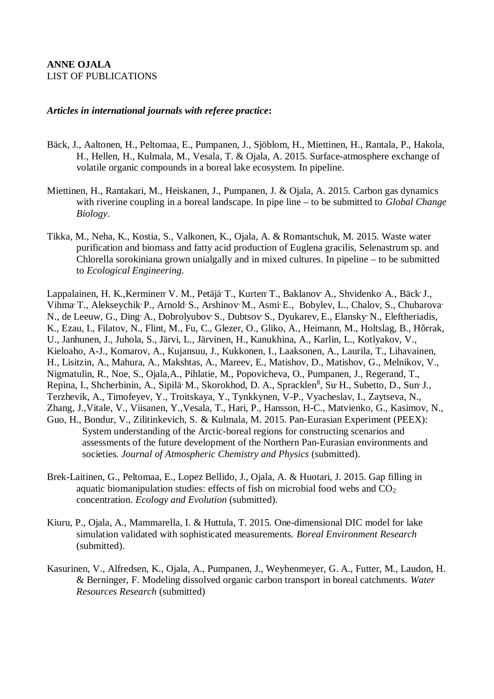### **ANNE OJALA** LIST OF PUBLICATIONS

### *Articles in international journals with referee practice***:**

- Bäck, J., Aaltonen, H., Peltomaa, E., Pumpanen, J., Sjöblom, H., Miettinen, H., Rantala, P., Hakola, H., Hellen, H., Kulmala, M., Vesala, T. & Ojala, A. 2015. Surface-atmosphere exchange of volatile organic compounds in a boreal lake ecosystem. In pipeline.
- Miettinen, H., Rantakari, M., Heiskanen, J., Pumpanen, J. & Ojala, A. 2015. Carbon gas dynamics with riverine coupling in a boreal landscape. In pipe line – to be submitted to *Global Change Biology*.
- Tikka, M., Neha, K., Kostia, S., Valkonen, K., Ojala, A. & Romantschuk, M. 2015. Waste water purification and biomass and fatty acid production of Euglena gracilis, Selenastrum sp. and Chlorella sorokiniana grown unialgally and in mixed cultures. In pipeline – to be submitted to *Ecological Engineering*.

Lappalainen, H. K., Kerminen<sup>,</sup> V. M., Petäjä<sup>,</sup> T., Kurten<sup>,</sup> T., Baklanov<sup>,</sup> A., Shvidenko<sup>,</sup> A., Bäck<sup>,</sup> J., Vihma, T., Alekseychik, P., Arnold, S., Arshinov, M., Asmi, E., Bobylev, L., Chalov, S., Chubarova, N., de Leeuw, G., Ding<sup>,</sup> A., Dobrolyubov, S., Dubtsov, S., Dyukarev, E., Elansky, N., Eleftheriadis, K., Ezau, I., Filatov, N., Flint, M., Fu, C., Glezer, O., Gliko, A., Heimann, M., Holtslag, B., Hõrrak, U., Janhunen, J., Juhola, S., Järvi, L., Järvinen, H., Kanukhina, A., Karlin, L., Kotlyakov, V., Kieloaho, A-J., Komarov, A., Kujansuu, J., Kukkonen, I., Laaksonen, A., Laurila, T., Lihavainen, H., Lisitzin, A., Mahura, A., Makshtas, A., Mareev, E., Matishov, D., Matishov, G., Melnikov, V., Nigmatulin, R., Noe, S., Ojala,A., Pihlatie, M., Popovicheva, O., Pumpanen, J., Regerand, T., Repina, I., Shcherbinin, A., Sipilä<sup>,</sup> M., Skorokhod, D. A., Spracklen<sup>8</sup>, Su<sup>,</sup> H., Subetto, D., Sun<sup>,</sup> J., Terzhevik, A., Timofeyev, Y., Troitskaya, Y., Tynkkynen, V-P., Vyacheslav, I., Zaytseva, N., Zhang, J.,Vitale, V., Viisanen, Y.,Vesala, T., Hari, P., Hansson, H-C., Matvienko, G., Kasimov, N., Guo, H., Bondur, V., Zilitinkevich, S. & Kulmala, M. 2015. Pan-Eurasian Experiment (PEEX): System understanding of the Arctic-boreal regions for constructing scenarios and assessments of the future development of the Northern Pan-Eurasian environments and societies*. Journal of Atmospheric Chemistry and Physics* (submitted).

- Brek-Laitinen, G., Peltomaa, E., Lopez Bellido, J., Ojala, A. & Huotari, J. 2015. Gap filling in aquatic biomanipulation studies: effects of fish on microbial food webs and  $CO<sub>2</sub>$ concentration. *Ecology and Evolution* (submitted).
- Kiuru, P., Ojala, A., Mammarella, I. & Huttula, T. 2015. One-dimensional DIC model for lake simulation validated with sophisticated measurements. *Boreal Environment Research* (submitted).
- Kasurinen, V., Alfredsen, K., Ojala, A., Pumpanen, J., Weyhenmeyer, G. A., Futter, M., Laudon, H. & Berninger, F. Modeling dissolved organic carbon transport in boreal catchments. *Water Resources Research* (submitted)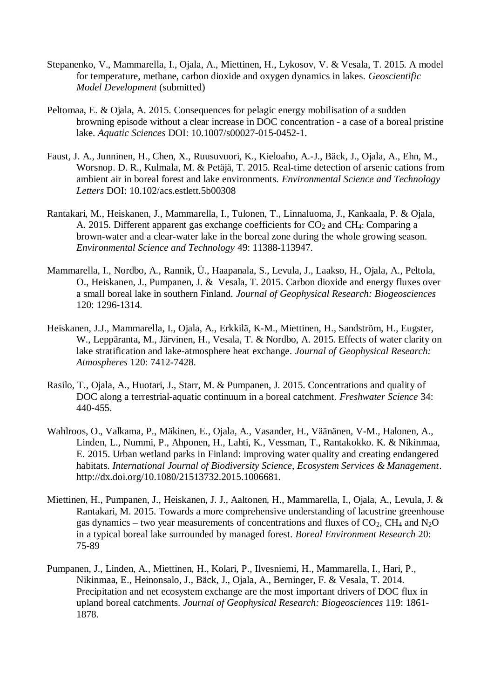- Stepanenko, V., Mammarella, I., Ojala, A., Miettinen, H., Lykosov, V. & Vesala, T. 2015. A model for temperature, methane, carbon dioxide and oxygen dynamics in lakes. *Geoscientific Model Development* (submitted)
- Peltomaa, E. & Ojala, A. 2015. Consequences for pelagic energy mobilisation of a sudden browning episode without a clear increase in DOC concentration - a case of a boreal pristine lake. *Aquatic Sciences* DOI: 10.1007/s00027-015-0452-1.
- Faust, J. A., Junninen, H., Chen, X., Ruusuvuori, K., Kieloaho, A.-J., Bäck, J., Ojala, A., Ehn, M., Worsnop. D. R., Kulmala, M. & Petäjä, T. 2015. Real-time detection of arsenic cations from ambient air in boreal forest and lake environments. *Environmental Science and Technology Letters* DOI: 10.102/acs.estlett.5b00308
- Rantakari, M., Heiskanen, J., Mammarella, I., Tulonen, T., Linnaluoma, J., Kankaala, P. & Ojala, A. 2015. Different apparent gas exchange coefficients for  $CO<sub>2</sub>$  and  $CH<sub>4</sub>$ : Comparing a brown-water and a clear-water lake in the boreal zone during the whole growing season. *Environmental Science and Technology* 49: 11388-113947.
- Mammarella, I., Nordbo, A., Rannik, Ü., Haapanala, S., Levula, J., Laakso, H., Ojala, A., Peltola, O., Heiskanen, J., Pumpanen, J. & Vesala, T. 2015. Carbon dioxide and energy fluxes over a small boreal lake in southern Finland. *Journal of Geophysical Research: Biogeosciences* 120: 1296-1314.
- Heiskanen, J.J., Mammarella, I., Ojala, A., Erkkilä, K-M., Miettinen, H., Sandström, H., Eugster, W., Leppäranta, M., Järvinen, H., Vesala, T. & Nordbo, A. 2015. Effects of water clarity on lake stratification and lake-atmosphere heat exchange. *Journal of Geophysical Research: Atmospheres* 120: 7412-7428.
- Rasilo, T., Ojala, A., Huotari, J., Starr, M. & Pumpanen, J. 2015. Concentrations and quality of DOC along a terrestrial-aquatic continuum in a boreal catchment. *Freshwater Science* 34: 440-455.
- Wahlroos, O., Valkama, P., Mäkinen, E., Ojala, A., Vasander, H., Väänänen, V-M., Halonen, A., Linden, L., Nummi, P., Ahponen, H., Lahti, K., Vessman, T., Rantakokko. K. & Nikinmaa, E. 2015. Urban wetland parks in Finland: improving water quality and creating endangered habitats. *International Journal of Biodiversity Science, Ecosystem Services & Management*. http://dx.doi.org/10.1080/21513732.2015.1006681.
- Miettinen, H., Pumpanen, J., Heiskanen, J. J., Aaltonen, H., Mammarella, I., Ojala, A., Levula, J. & Rantakari, M. 2015. Towards a more comprehensive understanding of lacustrine greenhouse gas dynamics – two year measurements of concentrations and fluxes of  $CO<sub>2</sub>$ , CH<sub>4</sub> and N<sub>2</sub>O in a typical boreal lake surrounded by managed forest. *Boreal Environment Research* 20: 75-89
- Pumpanen, J., Linden, A., Miettinen, H., Kolari, P., Ilvesniemi, H., Mammarella, I., Hari, P., Nikinmaa, E., Heinonsalo, J., Bäck, J., Ojala, A., Berninger, F. & Vesala, T. 2014. Precipitation and net ecosystem exchange are the most important drivers of DOC flux in upland boreal catchments. *Journal of Geophysical Research: Biogeosciences* 119: 1861- 1878.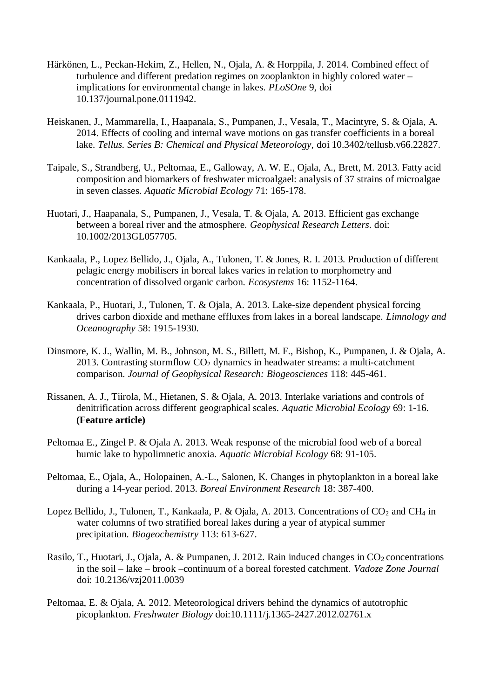- Härkönen, L., Peckan-Hekim, Z., Hellen, N., Ojala, A. & Horppila, J. 2014. Combined effect of turbulence and different predation regimes on zooplankton in highly colored water – implications for environmental change in lakes. *PLoSOne* 9, doi 10.137/journal.pone.0111942.
- Heiskanen, J., Mammarella, I., Haapanala, S., Pumpanen, J., Vesala, T., Macintyre, S. & Ojala, A. 2014. Effects of cooling and internal wave motions on gas transfer coefficients in a boreal lake. *Tellus. Series B: Chemical and Physical Meteorology,* doi 10.3402/tellusb.v66.22827.
- Taipale, S., Strandberg, U., Peltomaa, E., Galloway, A. W. E., Ojala, A., Brett, M. 2013. Fatty acid composition and biomarkers of freshwater microalgael: analysis of 37 strains of microalgae in seven classes. *Aquatic Microbial Ecology* 71: 165-178.
- Huotari, J., Haapanala, S., Pumpanen, J., Vesala, T. & Ojala, A. 2013. Efficient gas exchange between a boreal river and the atmosphere. *Geophysical Research Letters*. doi: 10.1002/2013GL057705.
- Kankaala, P., Lopez Bellido, J., Ojala, A., Tulonen, T. & Jones, R. I. 2013. Production of different pelagic energy mobilisers in boreal lakes varies in relation to morphometry and concentration of dissolved organic carbon. *Ecosystems* 16: 1152-1164.
- Kankaala, P., Huotari, J., Tulonen, T. & Ojala, A. 2013. Lake-size dependent physical forcing drives carbon dioxide and methane effluxes from lakes in a boreal landscape. *Limnology and Oceanography* 58: 1915-1930.
- Dinsmore, K. J., Wallin, M. B., Johnson, M. S., Billett, M. F., Bishop, K., Pumpanen, J. & Ojala, A. 2013. Contrasting stormflow  $CO<sub>2</sub>$  dynamics in headwater streams: a multi-catchment comparison. *Journal of Geophysical Research: Biogeosciences* 118: 445-461.
- Rissanen, A. J., Tiirola, M., Hietanen, S. & Ojala, A. 2013. Interlake variations and controls of denitrification across different geographical scales. *Aquatic Microbial Ecology* 69: 1-16. **(Feature article)**
- Peltomaa E., Zingel P. & Ojala A. 2013. Weak response of the microbial food web of a boreal humic lake to hypolimnetic anoxia. *Aquatic Microbial Ecology* 68: 91-105.
- Peltomaa, E., Ojala, A., Holopainen, A.-L., Salonen, K. Changes in phytoplankton in a boreal lake during a 14-year period. 2013. *Boreal Environment Research* 18: 387-400.
- Lopez Bellido, J., Tulonen, T., Kankaala, P. & Ojala, A. 2013. Concentrations of  $CO_2$  and CH<sub>4</sub> in water columns of two stratified boreal lakes during a year of atypical summer precipitation. *Biogeochemistry* 113: 613-627.
- Rasilo, T., Huotari, J., Ojala, A. & Pumpanen, J. 2012. Rain induced changes in CO<sub>2</sub> concentrations in the soil – lake – brook –continuum of a boreal forested catchment. *Vadoze Zone Journal* doi: 10.2136/vzj2011.0039
- Peltomaa, E. & Ojala, A. 2012. Meteorological drivers behind the dynamics of autotrophic picoplankton. *Freshwater Biology* doi:10.1111/j.1365-2427.2012.02761.x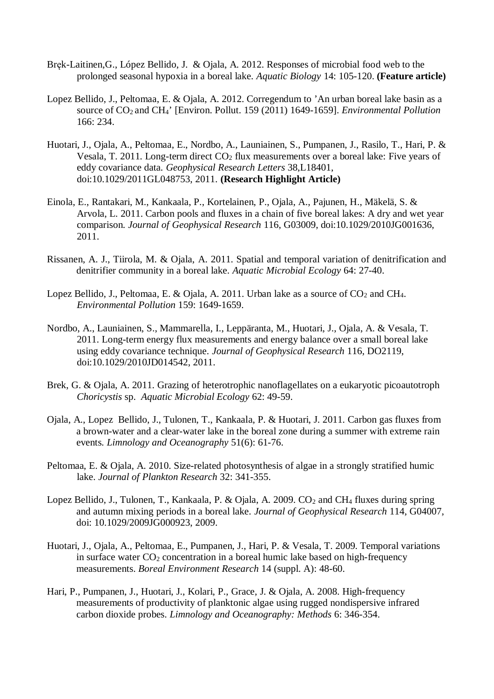- Bręk-Laitinen,G., López Bellido, J. & Ojala, A. 2012. Responses of microbial food web to the prolonged seasonal hypoxia in a boreal lake. *Aquatic Biology* 14: 105-120. **(Feature article)**
- Lopez Bellido, J., Peltomaa, E. & Ojala, A. 2012. Corregendum to 'An urban boreal lake basin as a source of CO<sub>2</sub> and CH<sub>4</sub>' [Environ. Pollut. 159 (2011) 1649-1659]. *Environmental Pollution* 166: 234.
- Huotari, J., Ojala, A., Peltomaa, E., Nordbo, A., Launiainen, S., Pumpanen, J., Rasilo, T., Hari, P. & Vesala, T. 2011. Long-term direct  $CO<sub>2</sub>$  flux measurements over a boreal lake: Five years of eddy covariance data. *Geophysical Research Letters* 38,L18401, doi:10.1029/2011GL048753, 2011. **(Research Highlight Article)**
- Einola, E., Rantakari, M., Kankaala, P., Kortelainen, P., Ojala, A., Pajunen, H., Mäkelä, S. & Arvola, L. 2011. Carbon pools and fluxes in a chain of five boreal lakes: A dry and wet year comparison*. Journal of Geophysical Research* 116, G03009, doi:10.1029/2010JG001636, 2011.
- Rissanen, A. J., Tiirola, M. & Ojala, A. 2011. Spatial and temporal variation of denitrification and denitrifier community in a boreal lake. *Aquatic Microbial Ecology* 64: 27-40.
- Lopez Bellido, J., Peltomaa, E. & Ojala, A. 2011. Urban lake as a source of  $CO<sub>2</sub>$  and CH<sub>4</sub>. *Environmental Pollution* 159: 1649-1659.
- Nordbo, A., Launiainen, S., Mammarella, I., Leppäranta, M., Huotari, J., Ojala, A. & Vesala, T. 2011. Long-term energy flux measurements and energy balance over a small boreal lake using eddy covariance technique. *Journal of Geophysical Research* 116, DO2119, doi:10.1029/2010JD014542, 2011.
- Brek, G. & Ojala, A. 2011. Grazing of heterotrophic nanoflagellates on a eukaryotic picoautotroph *Choricystis* sp. *Aquatic Microbial Ecology* 62: 49-59.
- Ojala, A., Lopez Bellido, J., Tulonen, T., Kankaala, P. & Huotari, J. 2011. Carbon gas fluxes from a brown-water and a clear-water lake in the boreal zone during a summer with extreme rain events. *Limnology and Oceanography* 51(6): 61-76.
- Peltomaa, E. & Ojala, A. 2010. Size-related photosynthesis of algae in a strongly stratified humic lake. *Journal of Plankton Research* 32: 341-355.
- Lopez Bellido, J., Tulonen, T., Kankaala, P. & Ojala, A. 2009.  $CO<sub>2</sub>$  and CH<sub>4</sub> fluxes during spring and autumn mixing periods in a boreal lake. *Journal of Geophysical Research* 114, G04007, doi: 10.1029/2009JG000923, 2009.
- Huotari, J., Ojala, A., Peltomaa, E., Pumpanen, J., Hari, P. & Vesala, T. 2009. Temporal variations in surface water  $CO<sub>2</sub>$  concentration in a boreal humic lake based on high-frequency measurements. *Boreal Environment Research* 14 (suppl. A): 48-60.
- Hari, P., Pumpanen, J., Huotari, J., Kolari, P., Grace, J. & Ojala, A. 2008. High-frequency measurements of productivity of planktonic algae using rugged nondispersive infrared carbon dioxide probes. *Limnology and Oceanography: Methods* 6: 346-354.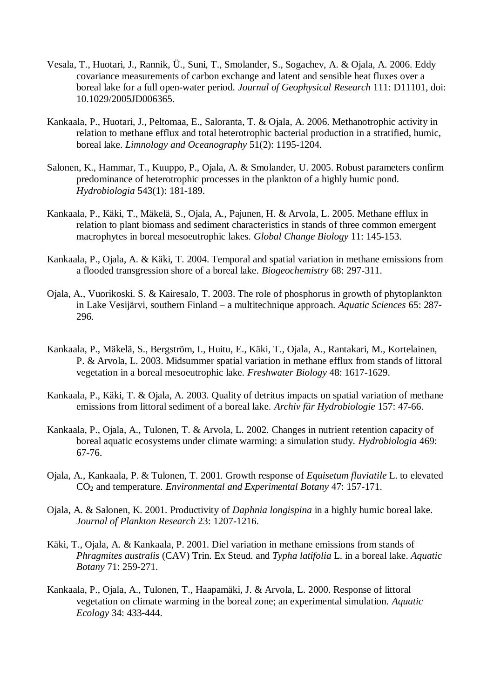- Vesala, T., Huotari, J., Rannik, Ü., Suni, T., Smolander, S., Sogachev, A. & Ojala, A. 2006. Eddy covariance measurements of carbon exchange and latent and sensible heat fluxes over a boreal lake for a full open-water period. *Journal of Geophysical Research* 111: D11101, doi: 10.1029/2005JD006365.
- Kankaala, P., Huotari, J., Peltomaa, E., Saloranta, T. & Ojala, A. 2006. Methanotrophic activity in relation to methane efflux and total heterotrophic bacterial production in a stratified, humic, boreal lake. *Limnology and Oceanography* 51(2): 1195-1204.
- Salonen, K., Hammar, T., Kuuppo, P., Ojala, A. & Smolander, U. 2005. Robust parameters confirm predominance of heterotrophic processes in the plankton of a highly humic pond. *Hydrobiologia* 543(1): 181-189.
- Kankaala, P., Käki, T., Mäkelä, S., Ojala, A., Pajunen, H. & Arvola, L. 2005. Methane efflux in relation to plant biomass and sediment characteristics in stands of three common emergent macrophytes in boreal mesoeutrophic lakes. *Global Change Biology* 11: 145-153.
- Kankaala, P., Ojala, A. & Käki, T. 2004. Temporal and spatial variation in methane emissions from a flooded transgression shore of a boreal lake. *Biogeochemistry* 68: 297-311.
- Ojala, A., Vuorikoski. S. & Kairesalo, T. 2003. The role of phosphorus in growth of phytoplankton in Lake Vesijärvi, southern Finland – a multitechnique approach. *Aquatic Sciences* 65: 287- 296.
- Kankaala, P., Mäkelä, S., Bergström, I., Huitu, E., Käki, T., Ojala, A., Rantakari, M., Kortelainen, P. & Arvola, L. 2003. Midsummer spatial variation in methane efflux from stands of littoral vegetation in a boreal mesoeutrophic lake. *Freshwater Biology* 48: 1617-1629.
- Kankaala, P., Käki, T. & Ojala, A. 2003. Quality of detritus impacts on spatial variation of methane emissions from littoral sediment of a boreal lake. *Archiv für Hydrobiologie* 157: 47-66.
- Kankaala, P., Ojala, A., Tulonen, T. & Arvola, L. 2002. Changes in nutrient retention capacity of boreal aquatic ecosystems under climate warming: a simulation study. *Hydrobiologia* 469: 67-76.
- Ojala, A., Kankaala, P. & Tulonen, T. 2001. Growth response of *Equisetum fluviatile* L. to elevated CO2 and temperature. *Environmental and Experimental Botany* 47: 157-171.
- Ojala, A. & Salonen, K. 2001. Productivity of *Daphnia longispina* in a highly humic boreal lake. *Journal of Plankton Research* 23: 1207-1216.
- Käki, T., Ojala, A. & Kankaala, P. 2001. Diel variation in methane emissions from stands of *Phragmites australis* (CAV) Trin. Ex Steud. and *Typha latifolia* L. in a boreal lake. *Aquatic Botany* 71: 259-271.
- Kankaala, P., Ojala, A., Tulonen, T., Haapamäki, J. & Arvola, L. 2000. Response of littoral vegetation on climate warming in the boreal zone; an experimental simulation. *Aquatic Ecology* 34: 433-444.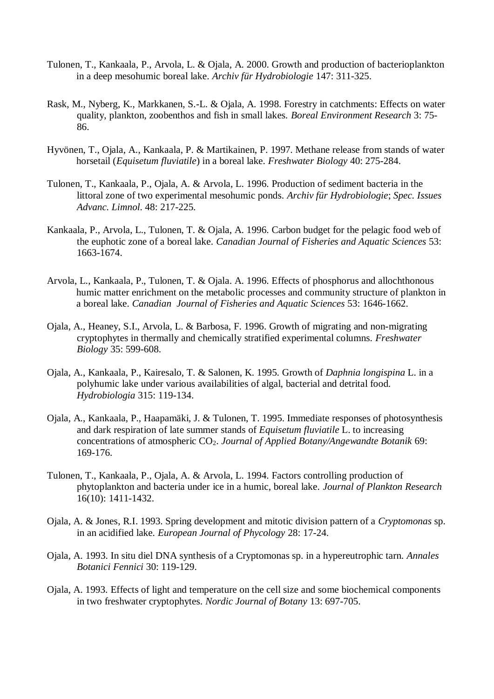- Tulonen, T., Kankaala, P., Arvola, L. & Ojala, A. 2000. Growth and production of bacterioplankton in a deep mesohumic boreal lake. *Archiv für Hydrobiologie* 147: 311-325.
- Rask, M., Nyberg, K., Markkanen, S.-L. & Ojala, A. 1998. Forestry in catchments: Effects on water quality, plankton, zoobenthos and fish in small lakes. *Boreal Environment Research* 3: 75- 86.
- Hyvönen, T., Ojala, A., Kankaala, P. & Martikainen, P. 1997. Methane release from stands of water horsetail (*Equisetum fluviatile*) in a boreal lake. *Freshwater Biology* 40: 275-284.
- Tulonen, T., Kankaala, P., Ojala, A. & Arvola, L. 1996. Production of sediment bacteria in the littoral zone of two experimental mesohumic ponds. *Archiv für Hydrobiologie*; *Spec. Issues Advanc. Limnol*. 48: 217-225.
- Kankaala, P., Arvola, L., Tulonen, T. & Ojala, A. 1996. Carbon budget for the pelagic food web of the euphotic zone of a boreal lake. *Canadian Journal of Fisheries and Aquatic Sciences* 53: 1663-1674.
- Arvola, L., Kankaala, P., Tulonen, T. & Ojala. A. 1996. Effects of phosphorus and allochthonous humic matter enrichment on the metabolic processes and community structure of plankton in a boreal lake. *Canadian Journal of Fisheries and Aquatic Sciences* 53: 1646-1662.
- Ojala, A., Heaney, S.I., Arvola, L. & Barbosa, F. 1996. Growth of migrating and non-migrating cryptophytes in thermally and chemically stratified experimental columns. *Freshwater Biology* 35: 599-608.
- Ojala, A., Kankaala, P., Kairesalo, T. & Salonen, K. 1995. Growth of *Daphnia longispina* L. in a polyhumic lake under various availabilities of algal, bacterial and detrital food. *Hydrobiologia* 315: 119-134.
- Ojala, A., Kankaala, P., Haapamäki, J. & Tulonen, T. 1995. Immediate responses of photosynthesis and dark respiration of late summer stands of *Equisetum fluviatile* L. to increasing concentrations of atmospheric CO2. *Journal of Applied Botany/Angewandte Botanik* 69: 169-176.
- Tulonen, T., Kankaala, P., Ojala, A. & Arvola, L. 1994. Factors controlling production of phytoplankton and bacteria under ice in a humic, boreal lake. *Journal of Plankton Research* 16(10): 1411-1432.
- Ojala, A. & Jones, R.I. 1993. Spring development and mitotic division pattern of a *Cryptomonas* sp. in an acidified lake. *European Journal of Phycology* 28: 17-24.
- Ojala, A. 1993. In situ diel DNA synthesis of a Cryptomonas sp. in a hypereutrophic tarn. *Annales Botanici Fennici* 30: 119-129.
- Ojala, A. 1993. Effects of light and temperature on the cell size and some biochemical components in two freshwater cryptophytes. *Nordic Journal of Botany* 13: 697-705.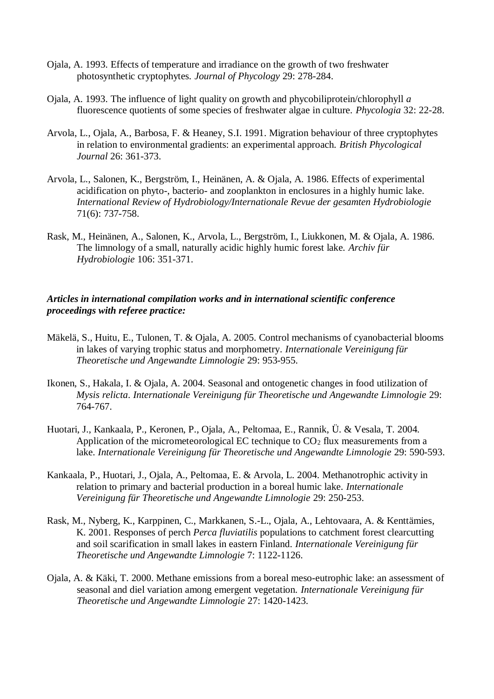- Ojala, A. 1993. Effects of temperature and irradiance on the growth of two freshwater photosynthetic cryptophytes. *Journal of Phycology* 29: 278-284.
- Ojala, A. 1993. The influence of light quality on growth and phycobiliprotein/chlorophyll *a* fluorescence quotients of some species of freshwater algae in culture. *Phycologia* 32: 22-28.
- Arvola, L., Ojala, A., Barbosa, F. & Heaney, S.I. 1991. Migration behaviour of three cryptophytes in relation to environmental gradients: an experimental approach. *British Phycological Journal* 26: 361-373.
- Arvola, L., Salonen, K., Bergström, I., Heinänen, A. & Ojala, A. 1986. Effects of experimental acidification on phyto-, bacterio- and zooplankton in enclosures in a highly humic lake. *International Review of Hydrobiology/Internationale Revue der gesamten Hydrobiologie* 71(6): 737-758.
- Rask, M., Heinänen, A., Salonen, K., Arvola, L., Bergström, I., Liukkonen, M. & Ojala, A. 1986. The limnology of a small, naturally acidic highly humic forest lake. *Archiv für Hydrobiologie* 106: 351-371.

### *Articles in international compilation works and in international scientific conference proceedings with referee practice:*

- Mäkelä, S., Huitu, E., Tulonen, T. & Ojala, A. 2005. Control mechanisms of cyanobacterial blooms in lakes of varying trophic status and morphometry. *Internationale Vereinigung für Theoretische und Angewandte Limnologie* 29: 953-955.
- Ikonen, S., Hakala, I. & Ojala, A. 2004. Seasonal and ontogenetic changes in food utilization of *Mysis relicta*. *Internationale Vereinigung für Theoretische und Angewandte Limnologie* 29: 764-767.
- Huotari, J., Kankaala, P., Keronen, P., Ojala, A., Peltomaa, E., Rannik, Ü. & Vesala, T. 2004. Application of the micrometeorological EC technique to  $CO<sub>2</sub>$  flux measurements from a lake. *Internationale Vereinigung für Theoretische und Angewandte Limnologie* 29: 590-593.
- Kankaala, P., Huotari, J., Ojala, A., Peltomaa, E. & Arvola, L. 2004. Methanotrophic activity in relation to primary and bacterial production in a boreal humic lake. *Internationale Vereinigung für Theoretische und Angewandte Limnologie* 29: 250-253.
- Rask, M., Nyberg, K., Karppinen, C., Markkanen, S.-L., Ojala, A., Lehtovaara, A. & Kenttämies, K. 2001. Responses of perch *Perca fluviatilis* populations to catchment forest clearcutting and soil scarification in small lakes in eastern Finland. *Internationale Vereinigung für Theoretische und Angewandte Limnologie* 7: 1122-1126.
- Ojala, A. & Käki, T. 2000. Methane emissions from a boreal meso-eutrophic lake: an assessment of seasonal and diel variation among emergent vegetation. *Internationale Vereinigung für Theoretische und Angewandte Limnologie* 27: 1420-1423.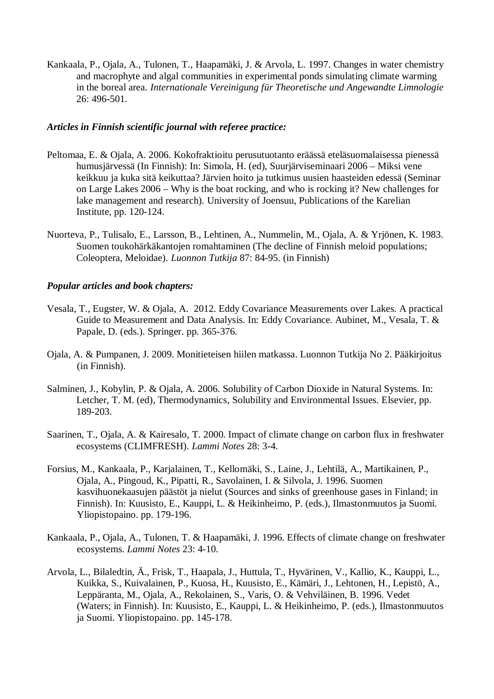Kankaala, P., Ojala, A., Tulonen, T., Haapamäki, J. & Arvola, L. 1997. Changes in water chemistry and macrophyte and algal communities in experimental ponds simulating climate warming in the boreal area. *Internationale Vereinigung für Theoretische und Angewandte Limnologie* 26: 496-501.

### *Articles in Finnish scientific journal with referee practice:*

- Peltomaa, E. & Ojala, A. 2006. Kokofraktioitu perusutuotanto eräässä eteläsuomalaisessa pienessä humusjärvessä (In Finnish): In: Simola, H. (ed), Suurjärviseminaari 2006 – Miksi vene keikkuu ja kuka sitä keikuttaa? Järvien hoito ja tutkimus uusien haasteiden edessä (Seminar on Large Lakes 2006 – Why is the boat rocking, and who is rocking it? New challenges for lake management and research). University of Joensuu, Publications of the Karelian Institute, pp. 120-124.
- Nuorteva, P., Tulisalo, E., Larsson, B., Lehtinen, A., Nummelin, M., Ojala, A. & Yrjönen, K. 1983. Suomen toukohärkäkantojen romahtaminen (The decline of Finnish meloid populations; Coleoptera, Meloidae). *Luonnon Tutkija* 87: 84-95. (in Finnish)

### *Popular articles and book chapters:*

- Vesala, T., Eugster, W. & Ojala, A. 2012. Eddy Covariance Measurements over Lakes. A practical Guide to Measurement and Data Analysis. In: Eddy Covariance. Aubinet, M., Vesala, T. & Papale, D. (eds.). Springer. pp. 365-376.
- Ojala, A. & Pumpanen, J. 2009. Monitieteisen hiilen matkassa. Luonnon Tutkija No 2. Pääkirjoitus (in Finnish).
- Salminen, J., Kobylin, P. & Ojala, A. 2006. Solubility of Carbon Dioxide in Natural Systems. In: Letcher, T. M. (ed), Thermodynamics, Solubility and Environmental Issues. Elsevier, pp. 189-203.
- Saarinen, T., Ojala, A. & Kairesalo, T. 2000. Impact of climate change on carbon flux in freshwater ecosystems (CLIMFRESH). *Lammi Notes* 28: 3-4.
- Forsius, M., Kankaala, P., Karjalainen, T., Kellomäki, S., Laine, J., Lehtilä, A., Martikainen, P., Ojala, A., Pingoud, K., Pipatti, R., Savolainen, I. & Silvola, J. 1996. Suomen kasvihuonekaasujen päästöt ja nielut (Sources and sinks of greenhouse gases in Finland; in Finnish). In: Kuusisto, E., Kauppi, L. & Heikinheimo, P. (eds.), Ilmastonmuutos ja Suomi. Yliopistopaino. pp. 179-196.
- Kankaala, P., Ojala, A., Tulonen, T. & Haapamäki, J. 1996. Effects of climate change on freshwater ecosystems. *Lammi Notes* 23: 4-10.
- Arvola, L., Bilaledtin, Ä., Frisk, T., Haapala, J., Huttula, T., Hyvärinen, V., Kallio, K., Kauppi, L., Kuikka, S., Kuivalainen, P., Kuosa, H., Kuusisto, E., Kämäri, J., Lehtonen, H., Lepistö, A., Leppäranta, M., Ojala, A., Rekolainen, S., Varis, O. & Vehviläinen, B. 1996. Vedet (Waters; in Finnish). In: Kuusisto, E., Kauppi, L. & Heikinheimo, P. (eds.), Ilmastonmuutos ja Suomi. Yliopistopaino. pp. 145-178.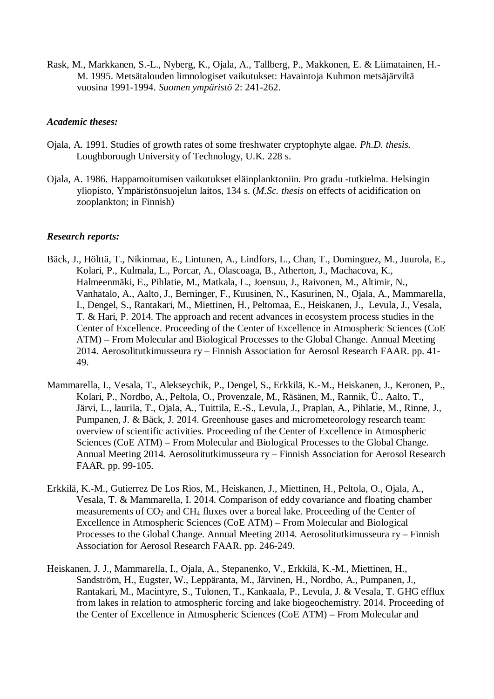Rask, M., Markkanen, S.-L., Nyberg, K., Ojala, A., Tallberg, P., Makkonen, E. & Liimatainen, H.- M. 1995. Metsätalouden limnologiset vaikutukset: Havaintoja Kuhmon metsäjärviltä vuosina 1991-1994. *Suomen ympäristö* 2: 241-262.

### *Academic theses:*

- Ojala, A. 1991. Studies of growth rates of some freshwater cryptophyte algae. *Ph.D. thesis.* Loughborough University of Technology, U.K. 228 s.
- Ojala, A. 1986. Happamoitumisen vaikutukset eläinplanktoniin. Pro gradu -tutkielma. Helsingin yliopisto, Ympäristönsuojelun laitos, 134 s. (*M.Sc. thesis* on effects of acidification on zooplankton; in Finnish)

### *Research reports:*

- Bäck, J., Hölttä, T., Nikinmaa, E., Lintunen, A., Lindfors, L., Chan, T., Dominguez, M., Juurola, E., Kolari, P., Kulmala, L., Porcar, A., Olascoaga, B., Atherton, J., Machacova, K., Halmeenmäki, E., Pihlatie, M., Matkala, L., Joensuu, J., Raivonen, M., Altimir, N., Vanhatalo, A., Aalto, J., Berninger, F., Kuusinen, N., Kasurinen, N., Ojala, A., Mammarella, I., Dengel, S., Rantakari, M., Miettinen, H., Peltomaa, E., Heiskanen, J., Levula, J., Vesala, T. & Hari, P. 2014. The approach and recent advances in ecosystem process studies in the Center of Excellence. Proceeding of the Center of Excellence in Atmospheric Sciences (CoE ATM) – From Molecular and Biological Processes to the Global Change. Annual Meeting 2014. Aerosolitutkimusseura ry – Finnish Association for Aerosol Research FAAR. pp. 41- 49.
- Mammarella, I., Vesala, T., Alekseychik, P., Dengel, S., Erkkilä, K.-M., Heiskanen, J., Keronen, P., Kolari, P., Nordbo, A., Peltola, O., Provenzale, M., Räsänen, M., Rannik, Ü., Aalto, T., Järvi, L., laurila, T., Ojala, A., Tuittila, E.-S., Levula, J., Praplan, A., Pihlatie, M., Rinne, J., Pumpanen, J. & Bäck, J. 2014. Greenhouse gases and micrometeorology research team: overview of scientific activities. Proceeding of the Center of Excellence in Atmospheric Sciences (CoE ATM) – From Molecular and Biological Processes to the Global Change. Annual Meeting 2014. Aerosolitutkimusseura ry – Finnish Association for Aerosol Research FAAR. pp. 99-105.
- Erkkilä, K.-M., Gutierrez De Los Rios, M., Heiskanen, J., Miettinen, H., Peltola, O., Ojala, A., Vesala, T. & Mammarella, I. 2014. Comparison of eddy covariance and floating chamber measurements of CO2 and CH4 fluxes over a boreal lake. Proceeding of the Center of Excellence in Atmospheric Sciences (CoE ATM) – From Molecular and Biological Processes to the Global Change. Annual Meeting 2014. Aerosolitutkimusseura ry – Finnish Association for Aerosol Research FAAR. pp. 246-249.
- Heiskanen, J. J., Mammarella, I., Ojala, A., Stepanenko, V., Erkkilä, K.-M., Miettinen, H., Sandström, H., Eugster, W., Leppäranta, M., Järvinen, H., Nordbo, A., Pumpanen, J., Rantakari, M., Macintyre, S., Tulonen, T., Kankaala, P., Levula, J. & Vesala, T. GHG efflux from lakes in relation to atmospheric forcing and lake biogeochemistry. 2014. Proceeding of the Center of Excellence in Atmospheric Sciences (CoE ATM) – From Molecular and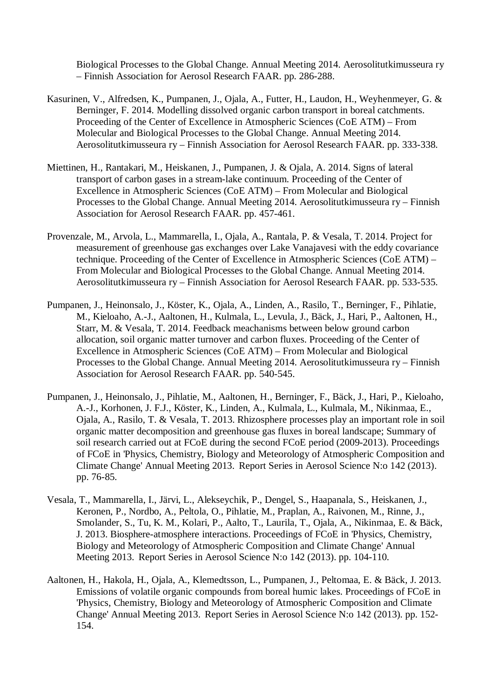Biological Processes to the Global Change. Annual Meeting 2014. Aerosolitutkimusseura ry – Finnish Association for Aerosol Research FAAR. pp. 286-288.

- Kasurinen, V., Alfredsen, K., Pumpanen, J., Ojala, A., Futter, H., Laudon, H., Weyhenmeyer, G. & Berninger, F. 2014. Modelling dissolved organic carbon transport in boreal catchments. Proceeding of the Center of Excellence in Atmospheric Sciences (CoE ATM) – From Molecular and Biological Processes to the Global Change. Annual Meeting 2014. Aerosolitutkimusseura ry – Finnish Association for Aerosol Research FAAR. pp. 333-338.
- Miettinen, H., Rantakari, M., Heiskanen, J., Pumpanen, J. & Ojala, A. 2014. Signs of lateral transport of carbon gases in a stream-lake continuum. Proceeding of the Center of Excellence in Atmospheric Sciences (CoE ATM) – From Molecular and Biological Processes to the Global Change. Annual Meeting 2014. Aerosolitutkimusseura ry – Finnish Association for Aerosol Research FAAR. pp. 457-461.
- Provenzale, M., Arvola, L., Mammarella, I., Ojala, A., Rantala, P. & Vesala, T. 2014. Project for measurement of greenhouse gas exchanges over Lake Vanajavesi with the eddy covariance technique. Proceeding of the Center of Excellence in Atmospheric Sciences (CoE ATM) – From Molecular and Biological Processes to the Global Change. Annual Meeting 2014. Aerosolitutkimusseura ry – Finnish Association for Aerosol Research FAAR. pp. 533-535.
- Pumpanen, J., Heinonsalo, J., Köster, K., Ojala, A., Linden, A., Rasilo, T., Berninger, F., Pihlatie, M., Kieloaho, A.-J., Aaltonen, H., Kulmala, L., Levula, J., Bäck, J., Hari, P., Aaltonen, H., Starr, M. & Vesala, T. 2014. Feedback meachanisms between below ground carbon allocation, soil organic matter turnover and carbon fluxes. Proceeding of the Center of Excellence in Atmospheric Sciences (CoE ATM) – From Molecular and Biological Processes to the Global Change. Annual Meeting 2014. Aerosolitutkimusseura ry – Finnish Association for Aerosol Research FAAR. pp. 540-545.
- Pumpanen, J., Heinonsalo, J., Pihlatie, M., Aaltonen, H., Berninger, F., Bäck, J., Hari, P., Kieloaho, A.-J., Korhonen, J. F.J., Köster, K., Linden, A., Kulmala, L., Kulmala, M., Nikinmaa, E., Ojala, A., Rasilo, T. & Vesala, T. 2013. Rhizosphere processes play an important role in soil organic matter decomposition and greenhouse gas fluxes in boreal landscape; Summary of soil research carried out at FCoE during the second FCoE period (2009-2013). Proceedings of FCoE in 'Physics, Chemistry, Biology and Meteorology of Atmospheric Composition and Climate Change' Annual Meeting 2013. Report Series in Aerosol Science N:o 142 (2013). pp. 76-85.
- Vesala, T., Mammarella, I., Järvi, L., Alekseychik, P., Dengel, S., Haapanala, S., Heiskanen, J., Keronen, P., Nordbo, A., Peltola, O., Pihlatie, M., Praplan, A., Raivonen, M., Rinne, J., Smolander, S., Tu, K. M., Kolari, P., Aalto, T., Laurila, T., Ojala, A., Nikinmaa, E. & Bäck, J. 2013. Biosphere-atmosphere interactions. Proceedings of FCoE in 'Physics, Chemistry, Biology and Meteorology of Atmospheric Composition and Climate Change' Annual Meeting 2013. Report Series in Aerosol Science N:o 142 (2013). pp. 104-110.
- Aaltonen, H., Hakola, H., Ojala, A., Klemedtsson, L., Pumpanen, J., Peltomaa, E. & Bäck, J. 2013. Emissions of volatile organic compounds from boreal humic lakes. Proceedings of FCoE in 'Physics, Chemistry, Biology and Meteorology of Atmospheric Composition and Climate Change' Annual Meeting 2013. Report Series in Aerosol Science N:o 142 (2013). pp. 152- 154.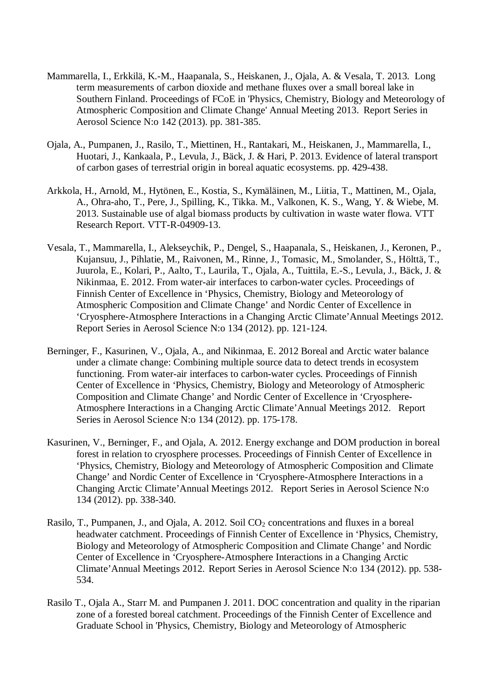- Mammarella, I., Erkkilä, K.-M., Haapanala, S., Heiskanen, J., Ojala, A. & Vesala, T. 2013. Long term measurements of carbon dioxide and methane fluxes over a small boreal lake in Southern Finland. Proceedings of FCoE in 'Physics, Chemistry, Biology and Meteorology of Atmospheric Composition and Climate Change' Annual Meeting 2013. Report Series in Aerosol Science N:o 142 (2013). pp. 381-385.
- Ojala, A., Pumpanen, J., Rasilo, T., Miettinen, H., Rantakari, M., Heiskanen, J., Mammarella, I., Huotari, J., Kankaala, P., Levula, J., Bäck, J. & Hari, P. 2013. Evidence of lateral transport of carbon gases of terrestrial origin in boreal aquatic ecosystems. pp. 429-438.
- Arkkola, H., Arnold, M., Hytönen, E., Kostia, S., Kymäläinen, M., Liitia, T., Mattinen, M., Ojala, A., Ohra-aho, T., Pere, J., Spilling, K., Tikka. M., Valkonen, K. S., Wang, Y. & Wiebe, M. 2013. Sustainable use of algal biomass products by cultivation in waste water flowa. VTT Research Report. VTT-R-04909-13.
- Vesala, T., Mammarella, I., Alekseychik, P., Dengel, S., Haapanala, S., Heiskanen, J., Keronen, P., Kujansuu, J., Pihlatie, M., Raivonen, M., Rinne, J., Tomasic, M., Smolander, S., Hölttä, T., Juurola, E., Kolari, P., Aalto, T., Laurila, T., Ojala, A., Tuittila, E.-S., Levula, J., Bäck, J. & Nikinmaa, E. 2012. From water-air interfaces to carbon-water cycles. Proceedings of Finnish Center of Excellence in 'Physics, Chemistry, Biology and Meteorology of Atmospheric Composition and Climate Change' and Nordic Center of Excellence in 'Cryosphere-Atmosphere Interactions in a Changing Arctic Climate'Annual Meetings 2012. Report Series in Aerosol Science N:o 134 (2012). pp. 121-124.
- Berninger, F., Kasurinen, V., Ojala, A., and Nikinmaa, E. 2012 Boreal and Arctic water balance under a climate change: Combining multiple source data to detect trends in ecosystem functioning. From water-air interfaces to carbon-water cycles. Proceedings of Finnish Center of Excellence in 'Physics, Chemistry, Biology and Meteorology of Atmospheric Composition and Climate Change' and Nordic Center of Excellence in 'Cryosphere-Atmosphere Interactions in a Changing Arctic Climate'Annual Meetings 2012. Report Series in Aerosol Science N:o 134 (2012). pp. 175-178.
- Kasurinen, V., Berninger, F., and Ojala, A. 2012. Energy exchange and DOM production in boreal forest in relation to cryosphere processes. Proceedings of Finnish Center of Excellence in 'Physics, Chemistry, Biology and Meteorology of Atmospheric Composition and Climate Change' and Nordic Center of Excellence in 'Cryosphere-Atmosphere Interactions in a Changing Arctic Climate'Annual Meetings 2012. Report Series in Aerosol Science N:o 134 (2012). pp. 338-340.
- Rasilo, T., Pumpanen, J., and Ojala, A. 2012. Soil CO<sub>2</sub> concentrations and fluxes in a boreal headwater catchment. Proceedings of Finnish Center of Excellence in 'Physics, Chemistry, Biology and Meteorology of Atmospheric Composition and Climate Change' and Nordic Center of Excellence in 'Cryosphere-Atmosphere Interactions in a Changing Arctic Climate'Annual Meetings 2012. Report Series in Aerosol Science N:o 134 (2012). pp. 538- 534.
- Rasilo T., Ojala A., Starr M. and Pumpanen J. 2011. DOC concentration and quality in the riparian zone of a forested boreal catchment. Proceedings of the Finnish Center of Excellence and Graduate School in 'Physics, Chemistry, Biology and Meteorology of Atmospheric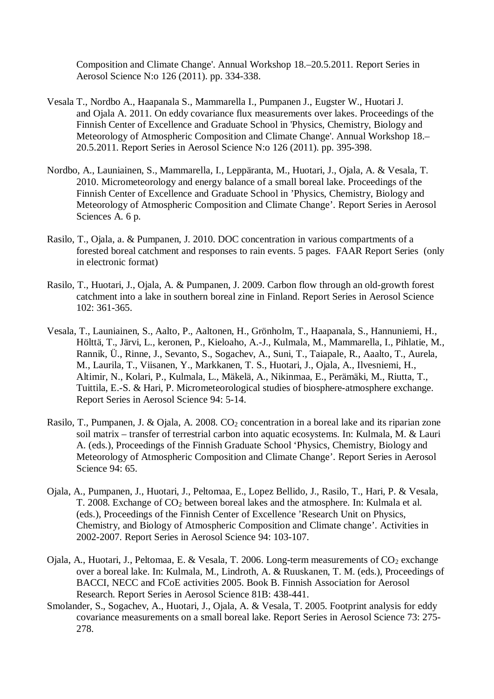Composition and Climate Change'. Annual Workshop 18.–20.5.2011. Report Series in Aerosol Science N:o 126 (2011). pp. 334-338.

- Vesala T., Nordbo A., Haapanala S., Mammarella I., Pumpanen J., Eugster W., Huotari J. and Ojala A. 2011. On eddy covariance flux measurements over lakes. Proceedings of the Finnish Center of Excellence and Graduate School in 'Physics, Chemistry, Biology and Meteorology of Atmospheric Composition and Climate Change'. Annual Workshop 18.– 20.5.2011. Report Series in Aerosol Science N:o 126 (2011). pp. 395-398.
- Nordbo, A., Launiainen, S., Mammarella, I., Leppäranta, M., Huotari, J., Ojala, A. & Vesala, T. 2010. Micrometeorology and energy balance of a small boreal lake. Proceedings of the Finnish Center of Excellence and Graduate School in 'Physics, Chemistry, Biology and Meteorology of Atmospheric Composition and Climate Change'. Report Series in Aerosol Sciences A. 6 p.
- Rasilo, T., Ojala, a. & Pumpanen, J. 2010. DOC concentration in various compartments of a forested boreal catchment and responses to rain events. 5 pages. FAAR Report Series (only in electronic format)
- Rasilo, T., Huotari, J., Ojala, A. & Pumpanen, J. 2009. Carbon flow through an old-growth forest catchment into a lake in southern boreal zine in Finland. Report Series in Aerosol Science 102: 361-365.
- Vesala, T., Launiainen, S., Aalto, P., Aaltonen, H., Grönholm, T., Haapanala, S., Hannuniemi, H., Hölttä, T., Järvi, L., keronen, P., Kieloaho, A.-J., Kulmala, M., Mammarella, I., Pihlatie, M., Rannik, Ü., Rinne, J., Sevanto, S., Sogachev, A., Suni, T., Taiapale, R., Aaalto, T., Aurela, M., Laurila, T., Viisanen, Y., Markkanen, T. S., Huotari, J., Ojala, A., Ilvesniemi, H., Altimir, N., Kolari, P., Kulmala, L., Mäkelä, A., Nikinmaa, E., Perämäki, M., Riutta, T., Tuittila, E.-S. & Hari, P. Micrometeorological studies of biosphere-atmosphere exchange. Report Series in Aerosol Science 94: 5-14.
- Rasilo, T., Pumpanen, J. & Ojala, A. 2008. CO<sub>2</sub> concentration in a boreal lake and its riparian zone soil matrix – transfer of terrestrial carbon into aquatic ecosystems. In: Kulmala, M. & Lauri A. (eds.), Proceedings of the Finnish Graduate School 'Physics, Chemistry, Biology and Meteorology of Atmospheric Composition and Climate Change'. Report Series in Aerosol Science 94: 65.
- Ojala, A., Pumpanen, J., Huotari, J., Peltomaa, E., Lopez Bellido, J., Rasilo, T., Hari, P. & Vesala, T. 2008. Exchange of CO2 between boreal lakes and the atmosphere. In: Kulmala et al. (eds.), Proceedings of the Finnish Center of Excellence 'Research Unit on Physics, Chemistry, and Biology of Atmospheric Composition and Climate change'. Activities in 2002-2007. Report Series in Aerosol Science 94: 103-107.
- Ojala, A., Huotari, J., Peltomaa, E. & Vesala, T. 2006. Long-term measurements of  $CO_2$  exchange over a boreal lake. In: Kulmala, M., Lindroth, A. & Ruuskanen, T. M. (eds.), Proceedings of BACCI, NECC and FCoE activities 2005. Book B. Finnish Association for Aerosol Research. Report Series in Aerosol Science 81B: 438-441.
- Smolander, S., Sogachev, A., Huotari, J., Ojala, A. & Vesala, T. 2005. Footprint analysis for eddy covariance measurements on a small boreal lake. Report Series in Aerosol Science 73: 275- 278.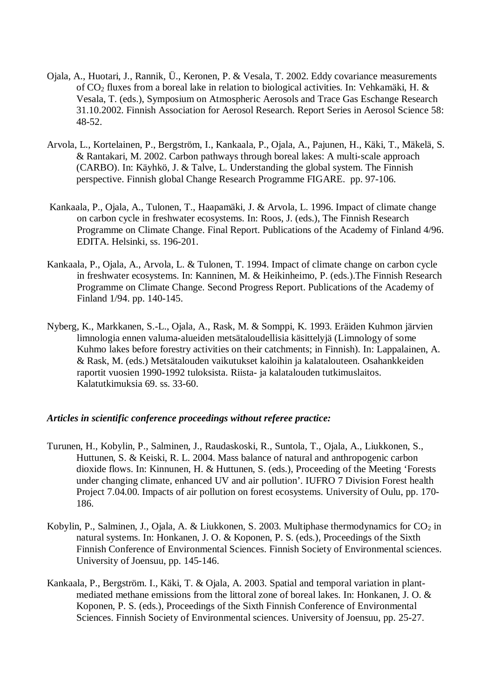- Ojala, A., Huotari, J., Rannik, Ü., Keronen, P. & Vesala, T. 2002. Eddy covariance measurements of CO2 fluxes from a boreal lake in relation to biological activities. In: Vehkamäki, H. & Vesala, T. (eds.), Symposium on Atmospheric Aerosols and Trace Gas Eschange Research 31.10.2002. Finnish Association for Aerosol Research. Report Series in Aerosol Science 58: 48-52.
- Arvola, L., Kortelainen, P., Bergström, I., Kankaala, P., Ojala, A., Pajunen, H., Käki, T., Mäkelä, S. & Rantakari, M. 2002. Carbon pathways through boreal lakes: A multi-scale approach (CARBO). In: Käyhkö, J. & Talve, L. Understanding the global system. The Finnish perspective. Finnish global Change Research Programme FIGARE. pp. 97-106.
- Kankaala, P., Ojala, A., Tulonen, T., Haapamäki, J. & Arvola, L. 1996. Impact of climate change on carbon cycle in freshwater ecosystems. In: Roos, J. (eds.), The Finnish Research Programme on Climate Change. Final Report. Publications of the Academy of Finland 4/96. EDITA. Helsinki, ss. 196-201.
- Kankaala, P., Ojala, A., Arvola, L. & Tulonen, T. 1994. Impact of climate change on carbon cycle in freshwater ecosystems. In: Kanninen, M. & Heikinheimo, P. (eds.).The Finnish Research Programme on Climate Change. Second Progress Report. Publications of the Academy of Finland 1/94. pp. 140-145.
- Nyberg, K., Markkanen, S.-L., Ojala, A., Rask, M. & Somppi, K. 1993. Eräiden Kuhmon järvien limnologia ennen valuma-alueiden metsätaloudellisia käsittelyjä (Limnology of some Kuhmo lakes before forestry activities on their catchments; in Finnish). In: Lappalainen, A. & Rask, M. (eds.) Metsätalouden vaikutukset kaloihin ja kalatalouteen. Osahankkeiden raportit vuosien 1990-1992 tuloksista. Riista- ja kalatalouden tutkimuslaitos. Kalatutkimuksia 69. ss. 33-60.

### *Articles in scientific conference proceedings without referee practice:*

- Turunen, H., Kobylin, P., Salminen, J., Raudaskoski, R., Suntola, T., Ojala, A., Liukkonen, S., Huttunen, S. & Keiski, R. L. 2004. Mass balance of natural and anthropogenic carbon dioxide flows. In: Kinnunen, H. & Huttunen, S. (eds.), Proceeding of the Meeting 'Forests under changing climate, enhanced UV and air pollution'. IUFRO 7 Division Forest health Project 7.04.00. Impacts of air pollution on forest ecosystems. University of Oulu, pp. 170- 186.
- Kobylin, P., Salminen, J., Ojala, A. & Liukkonen, S. 2003. Multiphase thermodynamics for  $CO<sub>2</sub>$  in natural systems. In: Honkanen, J. O. & Koponen, P. S. (eds.), Proceedings of the Sixth Finnish Conference of Environmental Sciences. Finnish Society of Environmental sciences. University of Joensuu, pp. 145-146.
- Kankaala, P., Bergström. I., Käki, T. & Ojala, A. 2003. Spatial and temporal variation in plantmediated methane emissions from the littoral zone of boreal lakes. In: Honkanen, J. O. & Koponen, P. S. (eds.), Proceedings of the Sixth Finnish Conference of Environmental Sciences. Finnish Society of Environmental sciences. University of Joensuu, pp. 25-27.